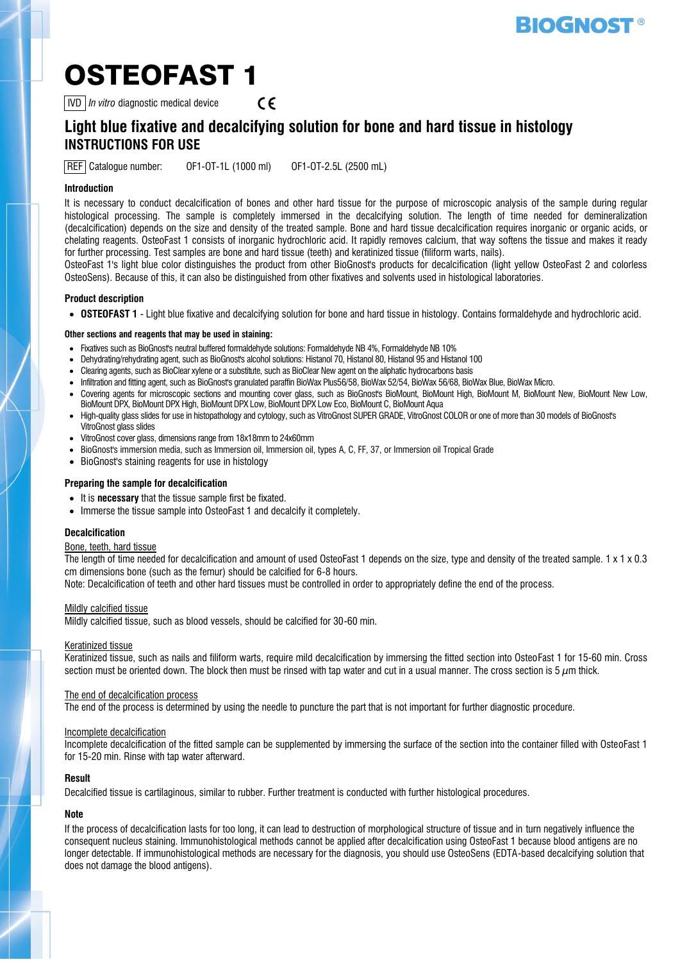# OSTEOFAST 1

 $\epsilon$ IVD *In vitro* diagnostic medical device

**Light blue fixative and decalcifying solution for bone and hard tissue in histology INSTRUCTIONS FOR USE**

REF Catalogue number: OF1-OT-1L (1000 ml) OF1-OT-2.5L (2500 mL)

# **Introduction**

It is necessary to conduct decalcification of bones and other hard tissue for the purpose of microscopic analysis of the sample during regular histological processing. The sample is completely immersed in the decalcifying solution. The length of time needed for demineralization (decalcification) depends on the size and density of the treated sample. Bone and hard tissue decalcification requires inorganic or organic acids, or chelating reagents. OsteoFast 1 consists of inorganic hydrochloric acid. It rapidly removes calcium, that way softens the tissue and makes it ready for further processing. Test samples are bone and hard tissue (teeth) and keratinized tissue (filiform warts, nails).

OsteoFast 1's light blue color distinguishes the product from other BioGnost's products for decalcification (light yellow OsteoFast 2 and colorless OsteoSens). Because of this, it can also be distinguished from other fixatives and solvents used in histological laboratories.

# **Product description**

**OSTEOFAST 1** - Light blue fixative and decalcifying solution for bone and hard tissue in histology. Contains formaldehyde and hydrochloric acid.

#### **Other sections and reagents that may be used in staining:**

- Fixatives such as BioGnost's neutral buffered formaldehyde solutions: Formaldehyde NB 4%, Formaldehyde NB 10%
- Dehydrating/rehydrating agent, such as BioGnost's alcohol solutions: Histanol 70, Histanol 80, Histanol 95 and Histanol 100
- Clearing agents, such as BioClear xylene or a substitute, such as BioClear New agent on the aliphatic hydrocarbons basis
- Infiltration and fitting agent, such as BioGnost's granulated paraffin BioWax Plus56/58, BioWax 52/54, BioWax 56/68, BioWax Blue, BioWax Micro.
- Covering agents for microscopic sections and mounting cover glass, such as BioGnost's BioMount, BioMount High, BioMount M, BioMount New, BioMount New Low, BioMount DPX, BioMount DPX High, BioMount DPX Low, BioMount DPX Low Eco, BioMount C, BioMount Aqua
- High-quality glass slides for use in histopathology and cytology, such as VitroGnost SUPER GRADE, VitroGnost COLOR or one of more than 30 models of BioGnost's VitroGnost glass slides
- VitroGnost cover glass, dimensions range from 18x18mm to 24x60mm
- BioGnost's immersion media, such as Immersion oil, Immersion oil, types A, C, FF, 37, or Immersion oil Tropical Grade
- BioGnost's staining reagents for use in histology

#### **Preparing the sample for decalcification**

- $\bullet$  It is **necessary** that the tissue sample first be fixated.
- Immerse the tissue sample into OsteoFast 1 and decalcify it completely.

#### **Decalcification**

#### Bone, teeth, hard tissue

The length of time needed for decalcification and amount of used OsteoFast 1 depends on the size, type and density of the treated sample. 1 x 1 x 0.3 cm dimensions bone (such as the femur) should be calcified for 6-8 hours.

Note: Decalcification of teeth and other hard tissues must be controlled in order to appropriately define the end of the process.

#### Mildly calcified tissue

Mildly calcified tissue, such as blood vessels, should be calcified for 30-60 min.

#### Keratinized tissue

Keratinized tissue, such as nails and filiform warts, require mild decalcification by immersing the fitted section into OsteoFast 1 for 15-60 min. Cross section must be oriented down. The block then must be rinsed with tap water and cut in a usual manner. The cross section is  $5 \mu m$  thick.

#### The end of decalcification process

The end of the process is determined by using the needle to puncture the part that is not important for further diagnostic procedure.

#### Incomplete decalcification

Incomplete decalcification of the fitted sample can be supplemented by immersing the surface of the section into the container filled with OsteoFast 1 for 15-20 min. Rinse with tap water afterward.

#### **Result**

Decalcified tissue is cartilaginous, similar to rubber. Further treatment is conducted with further histological procedures.

# **Note**

If the process of decalcification lasts for too long, it can lead to destruction of morphological structure of tissue and in turn negatively influence the consequent nucleus staining. Immunohistological methods cannot be applied after decalcification using OsteoFast 1 because blood antigens are no longer detectable. If immunohistological methods are necessary for the diagnosis, you should use OsteoSens (EDTA-based decalcifying solution that does not damage the blood antigens).